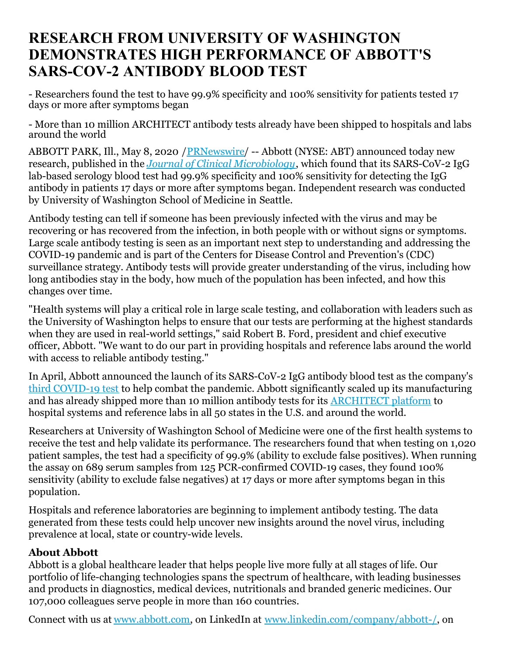## **RESEARCH FROM UNIVERSITY OF WASHINGTON DEMONSTRATES HIGH PERFORMANCE OF ABBOTT'S SARS-COV-2 ANTIBODY BLOOD TEST**

- Researchers found the test to have 99.9% specificity and 100% sensitivity for patients tested 17 days or more after symptoms began

- More than 10 million ARCHITECT antibody tests already have been shipped to hospitals and labs around the world

ABBOTT PARK, Ill., May 8, 2020 [/PRNewswire](http://www.prnewswire.com/)/ -- Abbott (NYSE: ABT) announced today new research, published in the *Journal of Clinical [Microbiology](https://c212.net/c/link/?t=0&l=en&o=2798689-1&h=1574396495&u=https%3A%2F%2Fjcm.asm.org%2Fcontent%2Fearly%2F2020%2F05%2F07%2FJCM.00941-20&a=Journal+of+Clinical+Microbiology)*, which found that its SARS-CoV-2 IgG lab-based serology blood test had 99.9% specificity and 100% sensitivity for detecting the IgG antibody in patients 17 days or more after symptoms began. Independent research was conducted by University of Washington School of Medicine in Seattle.

Antibody testing can tell if someone has been previously infected with the virus and may be recovering or has recovered from the infection, in both people with or without signs or symptoms. Large scale antibody testing is seen as an important next step to understanding and addressing the COVID-19 pandemic and is part of the Centers for Disease Control and Prevention's (CDC) surveillance strategy. Antibody tests will provide greater understanding of the virus, including how long antibodies stay in the body, how much of the population has been infected, and how this changes over time.

"Health systems will play a critical role in large scale testing, and collaboration with leaders such as the University of Washington helps to ensure that our tests are performing at the highest standards when they are used in real-world settings," said Robert B. Ford, president and chief executive officer, Abbott. "We want to do our part in providing hospitals and reference labs around the world with access to reliable antibody testing."

In April, Abbott announced the launch of its SARS-CoV-2 IgG antibody blood test as the company's third [COVID-19](https://www.abbott.com/coronavirus.html) test to help combat the pandemic. Abbott significantly scaled up its manufacturing and has already shipped more than 10 million antibody tests for its [ARCHITECT](https://www.abbott.com/corpnewsroom/product-and-innovation/abbott-launches-covid-19-antibody-test.html) platform to hospital systems and reference labs in all 50 states in the U.S. and around the world.

Researchers at University of Washington School of Medicine were one of the first health systems to receive the test and help validate its performance. The researchers found that when testing on 1,020 patient samples, the test had a specificity of 99.9% (ability to exclude false positives). When running the assay on 689 serum samples from 125 PCR-confirmed COVID-19 cases, they found 100% sensitivity (ability to exclude false negatives) at 17 days or more after symptoms began in this population.

Hospitals and reference laboratories are beginning to implement antibody testing. The data generated from these tests could help uncover new insights around the novel virus, including prevalence at local, state or country-wide levels.

## **About Abbott**

Abbott is a global healthcare leader that helps people live more fully at all stages of life. Our portfolio of life-changing technologies spans the spectrum of healthcare, with leading businesses and products in diagnostics, medical devices, nutritionals and branded generic medicines. Our 107,000 colleagues serve people in more than 160 countries.

Connect with us at [www.abbott.com](https://c212.net/c/link/?t=0&l=en&o=2798689-1&h=2331564197&u=http%3A%2F%2Fwww.abbott.com%2F&a=www.abbott.com), on LinkedIn at [www.linkedin.com/company/abbott-/](https://c212.net/c/link/?t=0&l=en&o=2798689-1&h=2975006017&u=http%3A%2F%2Fwww.linkedin.com%2Fcompany%2Fabbott-%2F&a=www.linkedin.com%2Fcompany%2Fabbott-%2F), on